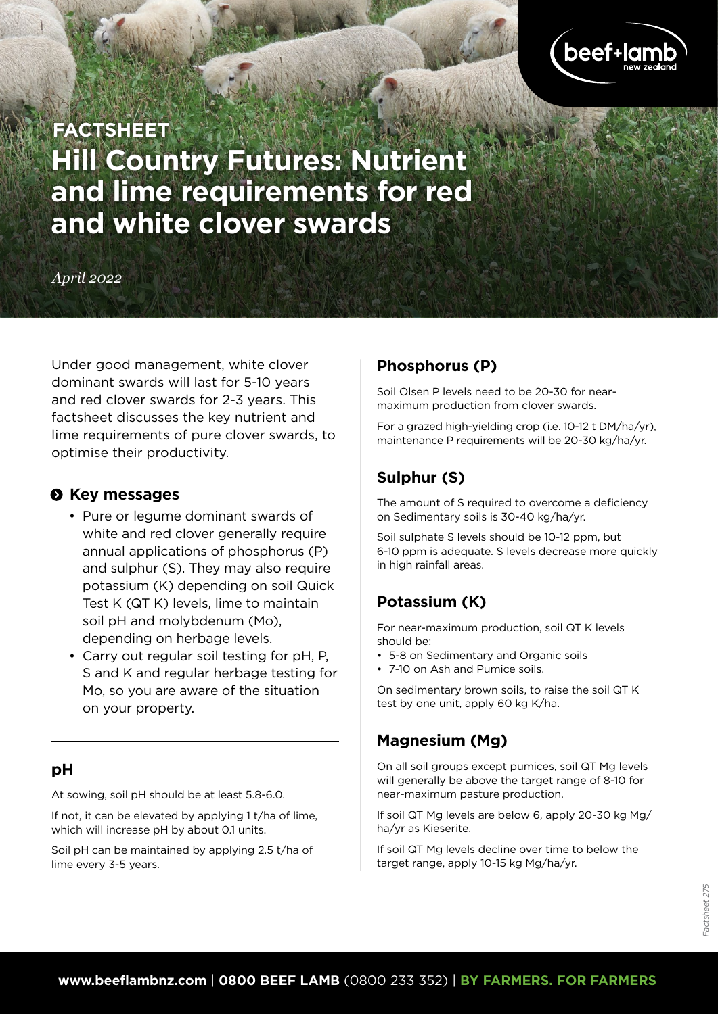

# **Hill Country Futures: Nutrient and lime requirements for red and white clover swards FACTSHEET**

*April 2022*

Under good management, white clover dominant swards will last for 5-10 years and red clover swards for 2-3 years. This factsheet discusses the key nutrient and lime requirements of pure clover swards, to optimise their productivity.

## $\odot$  Key messages

- Pure or legume dominant swards of white and red clover generally require annual applications of phosphorus (P) and sulphur (S). They may also require potassium (K) depending on soil Quick Test K (QT K) levels, lime to maintain soil pH and molybdenum (Mo), depending on herbage levels.
- Carry out regular soil testing for pH, P, S and K and regular herbage testing for Mo, so you are aware of the situation on your property.

## **pH**

At sowing, soil pH should be at least 5.8-6.0.

If not, it can be elevated by applying 1 t/ha of lime, which will increase pH by about 0.1 units.

Soil pH can be maintained by applying 2.5 t/ha of lime every 3-5 years.

## **Phosphorus (P)**

Soil Olsen P levels need to be 20-30 for nearmaximum production from clover swards.

For a grazed high-yielding crop (i.e. 10-12 t DM/ha/yr), maintenance P requirements will be 20-30 kg/ha/yr.

# **Sulphur (S)**

The amount of S required to overcome a deficiency on Sedimentary soils is 30-40 kg/ha/yr.

Soil sulphate S levels should be 10-12 ppm, but 6-10 ppm is adequate. S levels decrease more quickly in high rainfall areas.

# **Potassium (K)**

For near-maximum production, soil QT K levels should be:

- 5-8 on Sedimentary and Organic soils
- 7-10 on Ash and Pumice soils.

On sedimentary brown soils, to raise the soil QT K test by one unit, apply 60 kg K/ha.

## **Magnesium (Mg)**

On all soil groups except pumices, soil QT Mg levels will generally be above the target range of 8-10 for near-maximum pasture production.

If soil QT Mg levels are below 6, apply 20-30 kg Mg/ ha/yr as Kieserite.

If soil QT Mg levels decline over time to below the target range, apply 10-15 kg Mg/ha/yr.